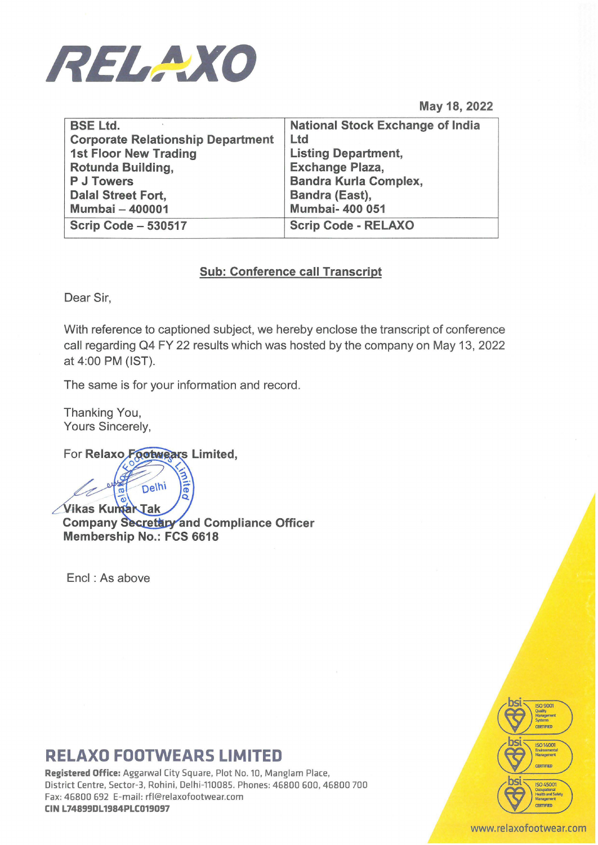

May 18, 2022

| <b>BSE Ltd.</b>                          | <b>National Stock Exchange of India</b> |
|------------------------------------------|-----------------------------------------|
| <b>Corporate Relationship Department</b> | <b>Ltd</b>                              |
| <b>1st Floor New Trading</b>             | <b>Listing Department,</b>              |
| Rotunda Building,                        | <b>Exchange Plaza,</b>                  |
| <b>P J Towers</b>                        | <b>Bandra Kurla Complex,</b>            |
| <b>Dalal Street Fort,</b>                | Bandra (East),                          |
| <b>Mumbai - 400001</b>                   | <b>Mumbai- 400 051</b>                  |
| Scrip Code - 530517                      | <b>Scrip Code - RELAXO</b>              |

### Sub: Conference call Transcript

Dear Sir,

With reference to captioned subject, we hereby enclose the transcript of conference call regarding Q4 FY 22 results which was hosted by the company on May 13, 2022 at 4:00 PM (IST).

The same is for your information and record.

Thanking You, Yours Sincerely,

For Relaxo Footwears Limited,

**Mited** Delhi Vikas Kumar Tak Company Secretary and Compliance Officer Membership No.: FCS 6618

Encl : As above

## RELAXO FOOTWEARS LIMITED

Registered Office: Aggarwal City Square, Plot No. 10, Manglam Place, District Centre, Sector-3, Rohini, Delhi-110085. Phones: 46800 600, 46800 700 Fax: 46800 692 E-mail: rfl@relaxofootwear.com CIN L74899DL1984PLC019097



#### www.relaxofootwear.com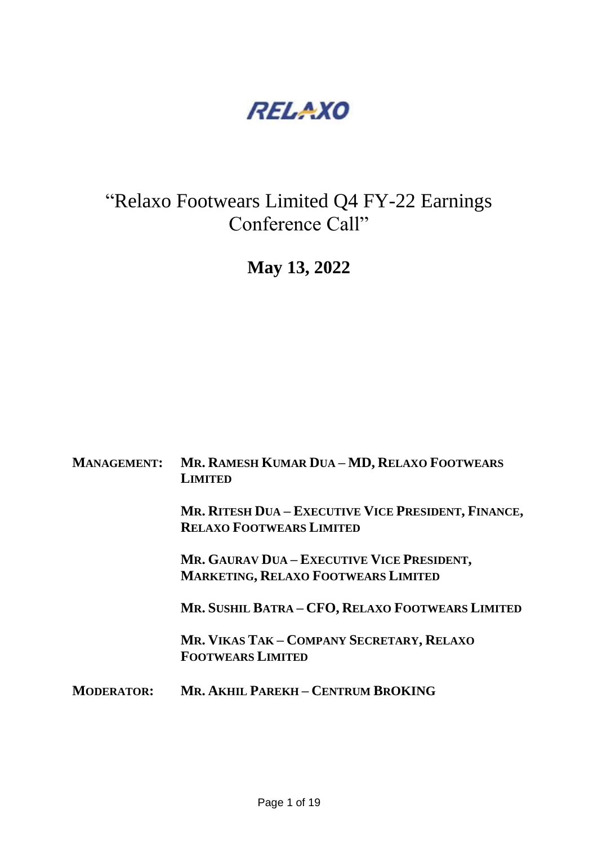

# "Relaxo Footwears Limited Q4 FY-22 Earnings Conference Call"

**May 13, 2022**

| <b>MANAGEMENT:</b> | MR. RAMESH KUMAR DUA - MD, RELAXO FOOTWEARS<br><b>LIMITED</b>                            |
|--------------------|------------------------------------------------------------------------------------------|
|                    | MR. RITESH DUA - EXECUTIVE VICE PRESIDENT, FINANCE,<br><b>RELAXO FOOTWEARS LIMITED</b>   |
|                    | MR. GAURAV DUA – EXECUTIVE VICE PRESIDENT,<br><b>MARKETING, RELAXO FOOTWEARS LIMITED</b> |
|                    | MR. SUSHIL BATRA - CFO, RELAXO FOOTWEARS LIMITED                                         |
|                    | MR. VIKAS TAK – COMPANY SECRETARY, RELAXO<br><b>FOOTWEARS LIMITED</b>                    |
| <b>MODERATOR:</b>  | MR. AKHIL PAREKH - CENTRUM BROKING                                                       |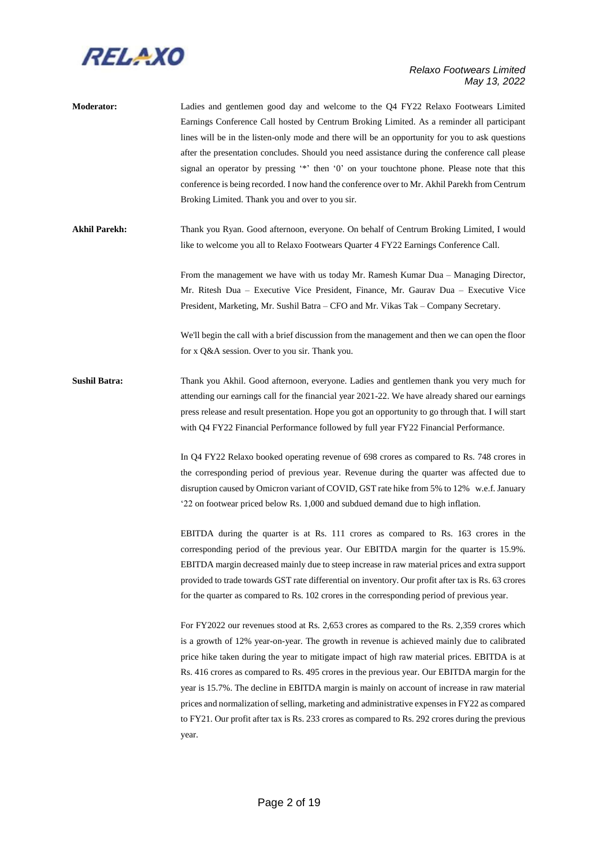

**Moderator:** Ladies and gentlemen good day and welcome to the Q4 FY22 Relaxo Footwears Limited Earnings Conference Call hosted by Centrum Broking Limited. As a reminder all participant lines will be in the listen-only mode and there will be an opportunity for you to ask questions after the presentation concludes. Should you need assistance during the conference call please signal an operator by pressing '\*' then '0' on your touchtone phone. Please note that this conference is being recorded. I now hand the conference over to Mr. Akhil Parekh from Centrum Broking Limited. Thank you and over to you sir.

**Akhil Parekh:** Thank you Ryan. Good afternoon, everyone. On behalf of Centrum Broking Limited, I would like to welcome you all to Relaxo Footwears Quarter 4 FY22 Earnings Conference Call.

> From the management we have with us today Mr. Ramesh Kumar Dua – Managing Director, Mr. Ritesh Dua – Executive Vice President, Finance, Mr. Gaurav Dua – Executive Vice President, Marketing, Mr. Sushil Batra – CFO and Mr. Vikas Tak – Company Secretary.

> We'll begin the call with a brief discussion from the management and then we can open the floor for x Q&A session. Over to you sir. Thank you.

**Sushil Batra:** Thank you Akhil. Good afternoon, everyone. Ladies and gentlemen thank you very much for attending our earnings call for the financial year 2021-22. We have already shared our earnings press release and result presentation. Hope you got an opportunity to go through that. I will start with Q4 FY22 Financial Performance followed by full year FY22 Financial Performance.

> In Q4 FY22 Relaxo booked operating revenue of 698 crores as compared to Rs. 748 crores in the corresponding period of previous year. Revenue during the quarter was affected due to disruption caused by Omicron variant of COVID, GST rate hike from 5% to 12% w.e.f. January '22 on footwear priced below Rs. 1,000 and subdued demand due to high inflation.

> EBITDA during the quarter is at Rs. 111 crores as compared to Rs. 163 crores in the corresponding period of the previous year. Our EBITDA margin for the quarter is 15.9%. EBITDA margin decreased mainly due to steep increase in raw material prices and extra support provided to trade towards GST rate differential on inventory. Our profit after tax is Rs. 63 crores for the quarter as compared to Rs. 102 crores in the corresponding period of previous year.

> For FY2022 our revenues stood at Rs. 2,653 crores as compared to the Rs. 2,359 crores which is a growth of 12% year-on-year. The growth in revenue is achieved mainly due to calibrated price hike taken during the year to mitigate impact of high raw material prices. EBITDA is at Rs. 416 crores as compared to Rs. 495 crores in the previous year. Our EBITDA margin for the year is 15.7%. The decline in EBITDA margin is mainly on account of increase in raw material prices and normalization of selling, marketing and administrative expenses in FY22 as compared to FY21. Our profit after tax is Rs. 233 crores as compared to Rs. 292 crores during the previous year.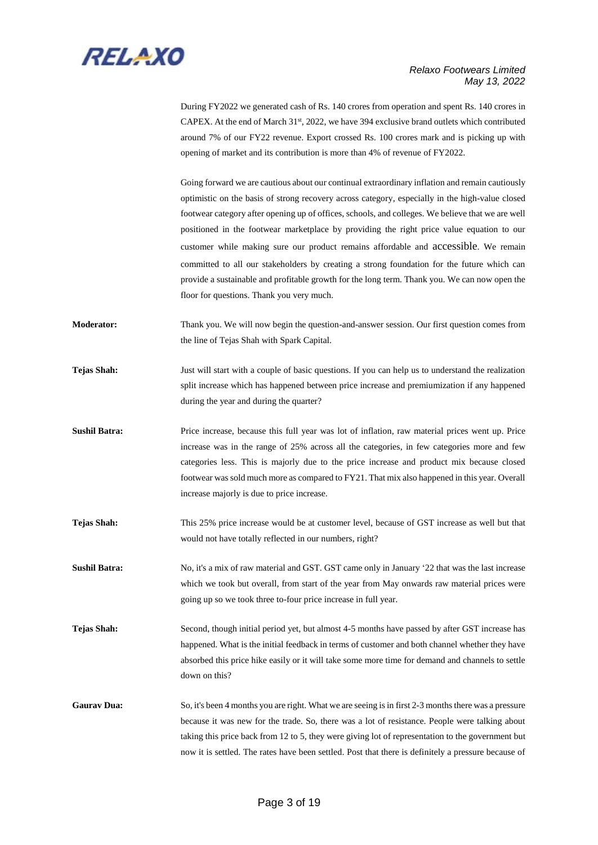

During FY2022 we generated cash of Rs. 140 crores from operation and spent Rs. 140 crores in CAPEX. At the end of March 31st, 2022, we have 394 exclusive brand outlets which contributed around 7% of our FY22 revenue. Export crossed Rs. 100 crores mark and is picking up with opening of market and its contribution is more than 4% of revenue of FY2022.

Going forward we are cautious about our continual extraordinary inflation and remain cautiously optimistic on the basis of strong recovery across category, especially in the high-value closed footwear category after opening up of offices, schools, and colleges. We believe that we are well positioned in the footwear marketplace by providing the right price value equation to our customer while making sure our product remains affordable and accessible. We remain committed to all our stakeholders by creating a strong foundation for the future which can provide a sustainable and profitable growth for the long term. Thank you. We can now open the floor for questions. Thank you very much.

- **Moderator:** Thank you. We will now begin the question-and-answer session. Our first question comes from the line of Tejas Shah with Spark Capital.
- **Tejas Shah:** Just will start with a couple of basic questions. If you can help us to understand the realization split increase which has happened between price increase and premiumization if any happened during the year and during the quarter?
- **Sushil Batra:** Price increase, because this full year was lot of inflation, raw material prices went up. Price increase was in the range of 25% across all the categories, in few categories more and few categories less. This is majorly due to the price increase and product mix because closed footwear was sold much more as compared to FY21. That mix also happened in this year. Overall increase majorly is due to price increase.
- **Tejas Shah:** This 25% price increase would be at customer level, because of GST increase as well but that would not have totally reflected in our numbers, right?
- **Sushil Batra:** No, it's a mix of raw material and GST. GST came only in January '22 that was the last increase which we took but overall, from start of the year from May onwards raw material prices were going up so we took three to-four price increase in full year.
- **Tejas Shah:** Second, though initial period yet, but almost 4-5 months have passed by after GST increase has happened. What is the initial feedback in terms of customer and both channel whether they have absorbed this price hike easily or it will take some more time for demand and channels to settle down on this?
- Gaurav Dua: So, it's been 4 months you are right. What we are seeing is in first 2-3 months there was a pressure because it was new for the trade. So, there was a lot of resistance. People were talking about taking this price back from 12 to 5, they were giving lot of representation to the government but now it is settled. The rates have been settled. Post that there is definitely a pressure because of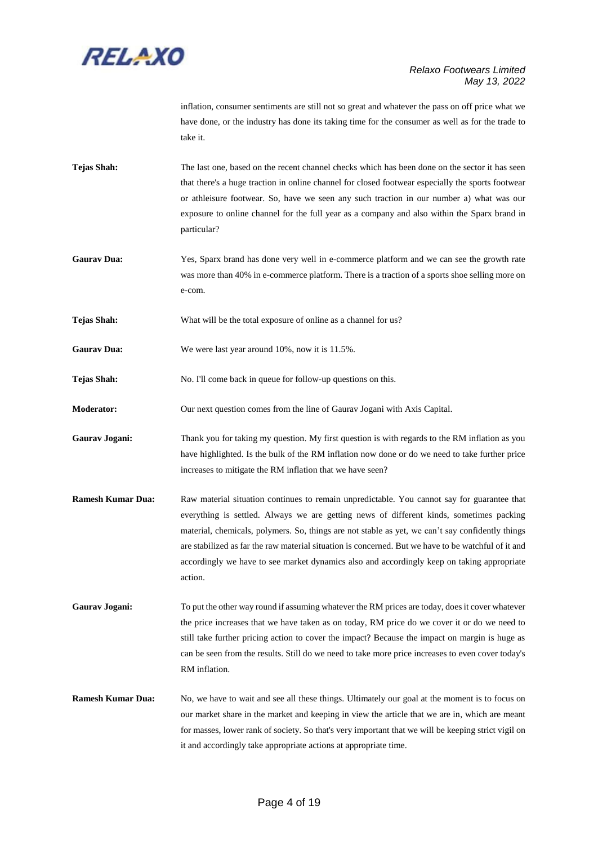

inflation, consumer sentiments are still not so great and whatever the pass on off price what we have done, or the industry has done its taking time for the consumer as well as for the trade to take it.

- **Tejas Shah:** The last one, based on the recent channel checks which has been done on the sector it has seen that there's a huge traction in online channel for closed footwear especially the sports footwear or athleisure footwear. So, have we seen any such traction in our number a) what was our exposure to online channel for the full year as a company and also within the Sparx brand in particular?
- **Gaurav Dua:** Yes, Sparx brand has done very well in e-commerce platform and we can see the growth rate was more than 40% in e-commerce platform. There is a traction of a sports shoe selling more on e-com.
- **Tejas Shah:** What will be the total exposure of online as a channel for us?
- **Gaurav Dua:** We were last year around 10%, now it is 11.5%.
- **Tejas Shah:** No. I'll come back in queue for follow-up questions on this.
- **Moderator:** Our next question comes from the line of Gaurav Jogani with Axis Capital.
- **Gaurav Jogani:** Thank you for taking my question. My first question is with regards to the RM inflation as you have highlighted. Is the bulk of the RM inflation now done or do we need to take further price increases to mitigate the RM inflation that we have seen?
- **Ramesh Kumar Dua:** Raw material situation continues to remain unpredictable. You cannot say for guarantee that everything is settled. Always we are getting news of different kinds, sometimes packing material, chemicals, polymers. So, things are not stable as yet, we can't say confidently things are stabilized as far the raw material situation is concerned. But we have to be watchful of it and accordingly we have to see market dynamics also and accordingly keep on taking appropriate action.
- **Gaurav Jogani:** To put the other way round if assuming whatever the RM prices are today, does it cover whatever the price increases that we have taken as on today, RM price do we cover it or do we need to still take further pricing action to cover the impact? Because the impact on margin is huge as can be seen from the results. Still do we need to take more price increases to even cover today's RM inflation.
- **Ramesh Kumar Dua:** No, we have to wait and see all these things. Ultimately our goal at the moment is to focus on our market share in the market and keeping in view the article that we are in, which are meant for masses, lower rank of society. So that's very important that we will be keeping strict vigil on it and accordingly take appropriate actions at appropriate time.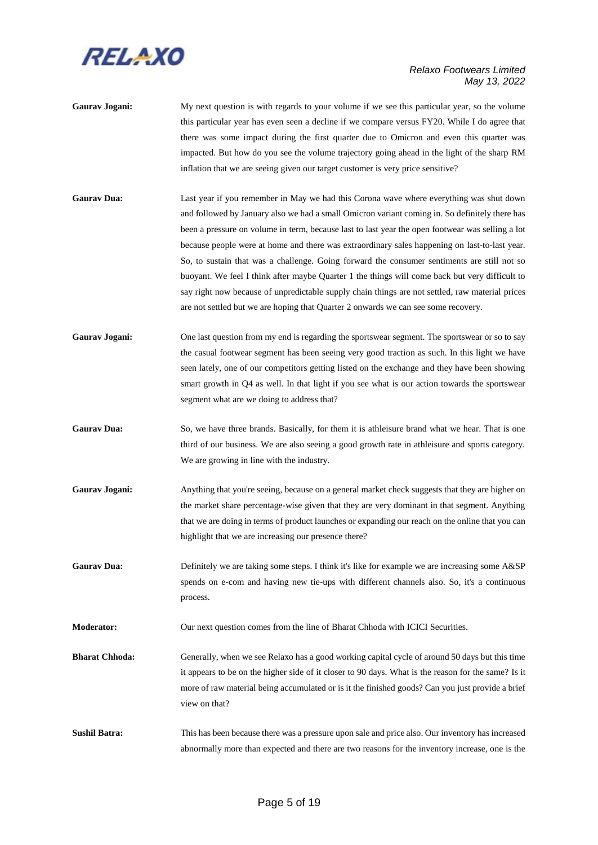

- Gaurav Jogani: My next question is with regards to your volume if we see this particular year, so the volume this particular year has even seen a decline if we compare versus FY20. While I do agree that there was some impact during the first quarter due to Omicron and even this quarter was impacted. But how do you see the volume trajectory going ahead in the light of the sharp RM inflation that we are seeing given our target customer is very price sensitive?
- **Gaurav Dua:** Last year if you remember in May we had this Corona wave where everything was shut down and followed by January also we had a small Omicron variant coming in. So definitely there has been a pressure on volume in term, because last to last year the open footwear was selling a lot because people were at home and there was extraordinary sales happening on last-to-last year. So, to sustain that was a challenge. Going forward the consumer sentiments are still not so buoyant. We feel I think after maybe Quarter 1 the things will come back but very difficult to say right now because of unpredictable supply chain things are not settled, raw material prices are not settled but we are hoping that Quarter 2 onwards we can see some recovery.
- Gaurav Jogani: One last question from my end is regarding the sportswear segment. The sportswear or so to say the casual footwear segment has been seeing very good traction as such. In this light we have seen lately, one of our competitors getting listed on the exchange and they have been showing smart growth in Q4 as well. In that light if you see what is our action towards the sportswear segment what are we doing to address that?
- Gaurav Dua: So, we have three brands. Basically, for them it is athleisure brand what we hear. That is one third of our business. We are also seeing a good growth rate in athleisure and sports category. We are growing in line with the industry.
- Gaurav Jogani: Anything that you're seeing, because on a general market check suggests that they are higher on the market share percentage-wise given that they are very dominant in that segment. Anything that we are doing in terms of product launches or expanding our reach on the online that you can highlight that we are increasing our presence there?
- Gaurav Dua: Definitely we are taking some steps. I think it's like for example we are increasing some A&SP spends on e-com and having new tie-ups with different channels also. So, it's a continuous process.

**Moderator:** Our next question comes from the line of Bharat Chhoda with ICICI Securities.

- **Bharat Chhoda:** Generally, when we see Relaxo has a good working capital cycle of around 50 days but this time it appears to be on the higher side of it closer to 90 days. What is the reason for the same? Is it more of raw material being accumulated or is it the finished goods? Can you just provide a brief view on that?
- **Sushil Batra:** This has been because there was a pressure upon sale and price also. Our inventory has increased abnormally more than expected and there are two reasons for the inventory increase, one is the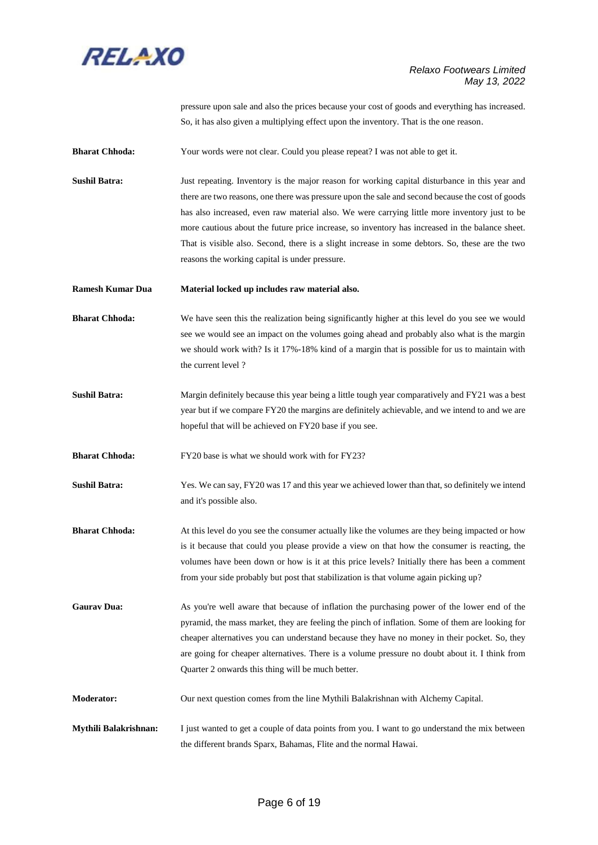

pressure upon sale and also the prices because your cost of goods and everything has increased. So, it has also given a multiplying effect upon the inventory. That is the one reason.

**Bharat Chhoda:** Your words were not clear. Could you please repeat? I was not able to get it.

**Sushil Batra:** Just repeating. Inventory is the major reason for working capital disturbance in this year and there are two reasons, one there was pressure upon the sale and second because the cost of goods has also increased, even raw material also. We were carrying little more inventory just to be more cautious about the future price increase, so inventory has increased in the balance sheet. That is visible also. Second, there is a slight increase in some debtors. So, these are the two reasons the working capital is under pressure.

**Ramesh Kumar Dua Material locked up includes raw material also.**

**Bharat Chhoda:** We have seen this the realization being significantly higher at this level do you see we would see we would see an impact on the volumes going ahead and probably also what is the margin we should work with? Is it 17%-18% kind of a margin that is possible for us to maintain with the current level ?

**Sushil Batra:** Margin definitely because this year being a little tough year comparatively and FY21 was a best year but if we compare FY20 the margins are definitely achievable, and we intend to and we are hopeful that will be achieved on FY20 base if you see.

**Bharat Chhoda:** FY20 base is what we should work with for FY23?

**Sushil Batra:** Yes. We can say, FY20 was 17 and this year we achieved lower than that, so definitely we intend and it's possible also.

**Bharat Chhoda:** At this level do you see the consumer actually like the volumes are they being impacted or how is it because that could you please provide a view on that how the consumer is reacting, the volumes have been down or how is it at this price levels? Initially there has been a comment from your side probably but post that stabilization is that volume again picking up?

**Gaurav Dua:** As you're well aware that because of inflation the purchasing power of the lower end of the pyramid, the mass market, they are feeling the pinch of inflation. Some of them are looking for cheaper alternatives you can understand because they have no money in their pocket. So, they are going for cheaper alternatives. There is a volume pressure no doubt about it. I think from Quarter 2 onwards this thing will be much better.

**Moderator:** Our next question comes from the line Mythili Balakrishnan with Alchemy Capital.

**Mythili Balakrishnan:** I just wanted to get a couple of data points from you. I want to go understand the mix between the different brands Sparx, Bahamas, Flite and the normal Hawai.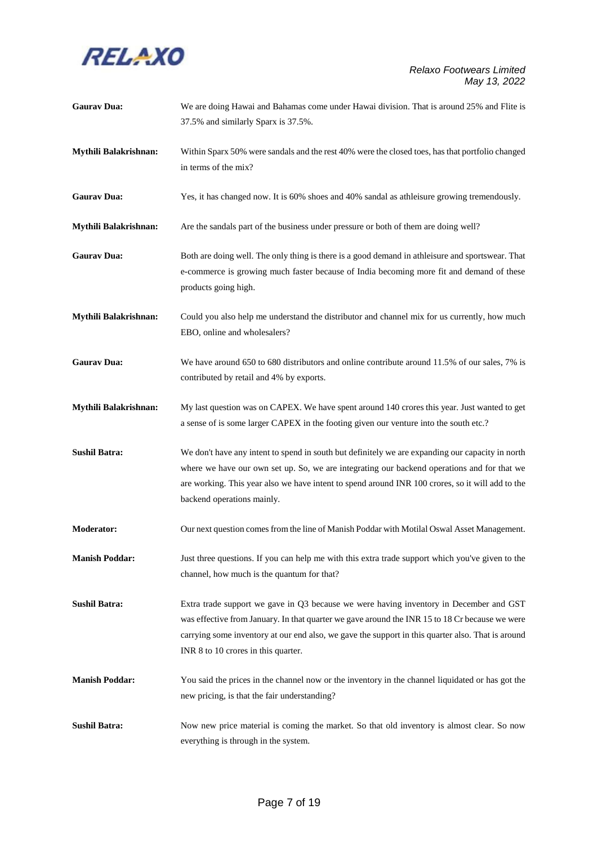

| <b>Gaurav Dua:</b>    | We are doing Hawai and Bahamas come under Hawai division. That is around 25% and Flite is<br>37.5% and similarly Sparx is 37.5%.                                                                                                                                                                                                     |
|-----------------------|--------------------------------------------------------------------------------------------------------------------------------------------------------------------------------------------------------------------------------------------------------------------------------------------------------------------------------------|
| Mythili Balakrishnan: | Within Sparx 50% were sandals and the rest 40% were the closed toes, has that portfolio changed<br>in terms of the mix?                                                                                                                                                                                                              |
| <b>Gaurav Dua:</b>    | Yes, it has changed now. It is 60% shoes and 40% sandal as athleisure growing tremendously.                                                                                                                                                                                                                                          |
| Mythili Balakrishnan: | Are the sandals part of the business under pressure or both of them are doing well?                                                                                                                                                                                                                                                  |
| <b>Gaurav Dua:</b>    | Both are doing well. The only thing is there is a good demand in athleisure and sportswear. That<br>e-commerce is growing much faster because of India becoming more fit and demand of these<br>products going high.                                                                                                                 |
| Mythili Balakrishnan: | Could you also help me understand the distributor and channel mix for us currently, how much<br>EBO, online and wholesalers?                                                                                                                                                                                                         |
| <b>Gaurav Dua:</b>    | We have around 650 to 680 distributors and online contribute around 11.5% of our sales, 7% is<br>contributed by retail and 4% by exports.                                                                                                                                                                                            |
| Mythili Balakrishnan: | My last question was on CAPEX. We have spent around 140 crores this year. Just wanted to get<br>a sense of is some larger CAPEX in the footing given our venture into the south etc.?                                                                                                                                                |
| <b>Sushil Batra:</b>  | We don't have any intent to spend in south but definitely we are expanding our capacity in north<br>where we have our own set up. So, we are integrating our backend operations and for that we<br>are working. This year also we have intent to spend around INR 100 crores, so it will add to the<br>backend operations mainly.    |
| <b>Moderator:</b>     | Our next question comes from the line of Manish Poddar with Motilal Oswal Asset Management.                                                                                                                                                                                                                                          |
| <b>Manish Poddar:</b> | Just three questions. If you can help me with this extra trade support which you've given to the<br>channel, how much is the quantum for that?                                                                                                                                                                                       |
| <b>Sushil Batra:</b>  | Extra trade support we gave in Q3 because we were having inventory in December and GST<br>was effective from January. In that quarter we gave around the INR 15 to 18 Cr because we were<br>carrying some inventory at our end also, we gave the support in this quarter also. That is around<br>INR 8 to 10 crores in this quarter. |
| <b>Manish Poddar:</b> | You said the prices in the channel now or the inventory in the channel liquidated or has got the<br>new pricing, is that the fair understanding?                                                                                                                                                                                     |
| <b>Sushil Batra:</b>  | Now new price material is coming the market. So that old inventory is almost clear. So now<br>everything is through in the system.                                                                                                                                                                                                   |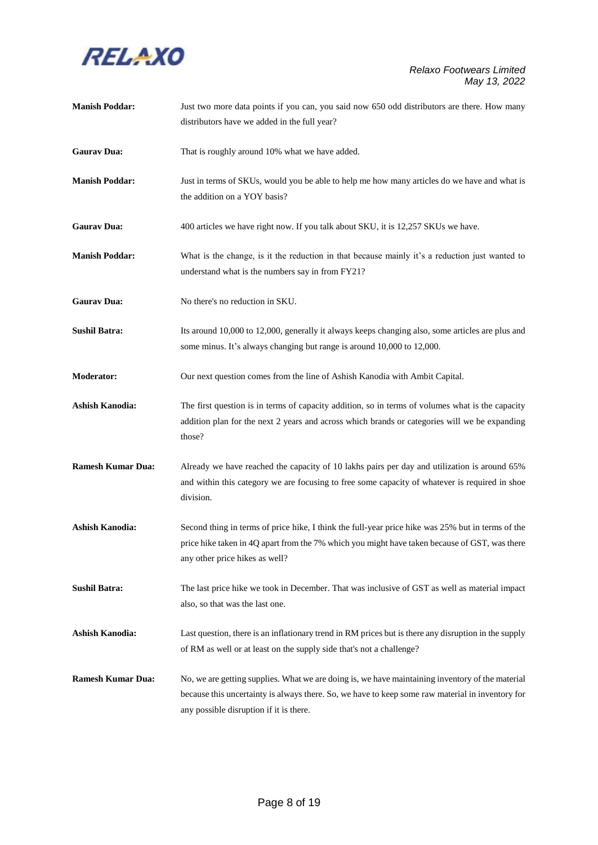

| <b>Manish Poddar:</b>    | Just two more data points if you can, you said now 650 odd distributors are there. How many<br>distributors have we added in the full year?                                                                                                     |
|--------------------------|-------------------------------------------------------------------------------------------------------------------------------------------------------------------------------------------------------------------------------------------------|
| <b>Gaurav Dua:</b>       | That is roughly around 10% what we have added.                                                                                                                                                                                                  |
| <b>Manish Poddar:</b>    | Just in terms of SKUs, would you be able to help me how many articles do we have and what is<br>the addition on a YOY basis?                                                                                                                    |
| <b>Gaurav Dua:</b>       | 400 articles we have right now. If you talk about SKU, it is 12,257 SKUs we have.                                                                                                                                                               |
| <b>Manish Poddar:</b>    | What is the change, is it the reduction in that because mainly it's a reduction just wanted to<br>understand what is the numbers say in from FY21?                                                                                              |
| <b>Gaurav Dua:</b>       | No there's no reduction in SKU.                                                                                                                                                                                                                 |
| <b>Sushil Batra:</b>     | Its around 10,000 to 12,000, generally it always keeps changing also, some articles are plus and<br>some minus. It's always changing but range is around 10,000 to 12,000.                                                                      |
| Moderator:               | Our next question comes from the line of Ashish Kanodia with Ambit Capital.                                                                                                                                                                     |
| <b>Ashish Kanodia:</b>   | The first question is in terms of capacity addition, so in terms of volumes what is the capacity<br>addition plan for the next 2 years and across which brands or categories will we be expanding<br>those?                                     |
| <b>Ramesh Kumar Dua:</b> | Already we have reached the capacity of 10 lakhs pairs per day and utilization is around 65%<br>and within this category we are focusing to free some capacity of whatever is required in shoe<br>division.                                     |
| <b>Ashish Kanodia:</b>   | Second thing in terms of price hike, I think the full-year price hike was 25% but in terms of the<br>price hike taken in 4Q apart from the 7% which you might have taken because of GST, was there<br>any other price hikes as well?            |
| <b>Sushil Batra:</b>     | The last price hike we took in December. That was inclusive of GST as well as material impact<br>also, so that was the last one.                                                                                                                |
| <b>Ashish Kanodia:</b>   | Last question, there is an inflationary trend in RM prices but is there any disruption in the supply<br>of RM as well or at least on the supply side that's not a challenge?                                                                    |
| <b>Ramesh Kumar Dua:</b> | No, we are getting supplies. What we are doing is, we have maintaining inventory of the material<br>because this uncertainty is always there. So, we have to keep some raw material in inventory for<br>any possible disruption if it is there. |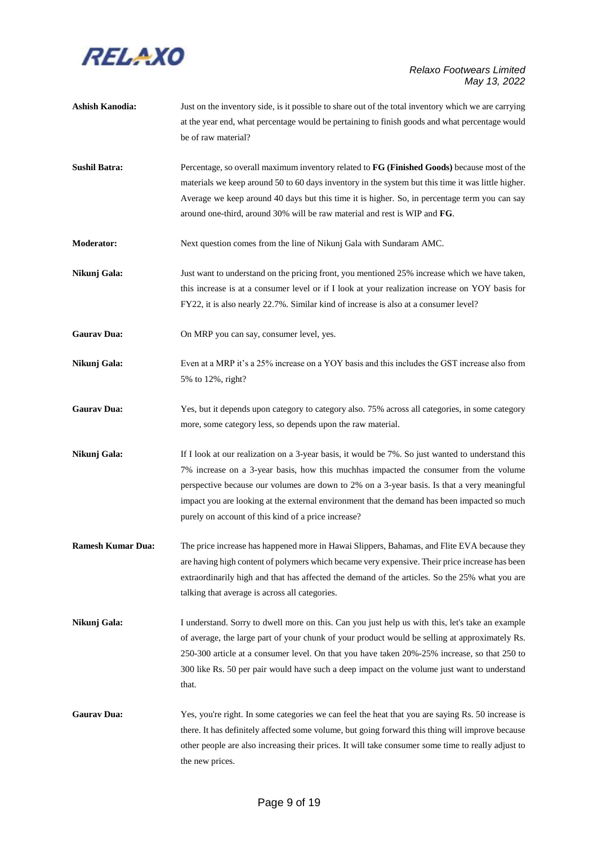

**Ashish Kanodia:** Just on the inventory side, is it possible to share out of the total inventory which we are carrying at the year end, what percentage would be pertaining to finish goods and what percentage would be of raw material? **Sushil Batra:** Percentage, so overall maximum inventory related to **FG (Finished Goods)** because most of the materials we keep around 50 to 60 days inventory in the system but this time it was little higher. Average we keep around 40 days but this time it is higher. So, in percentage term you can say around one-third, around 30% will be raw material and rest is WIP and **FG**. **Moderator:** Next question comes from the line of Nikunj Gala with Sundaram AMC. **Nikunj Gala:** Just want to understand on the pricing front, you mentioned 25% increase which we have taken, this increase is at a consumer level or if I look at your realization increase on YOY basis for FY22, it is also nearly 22.7%. Similar kind of increase is also at a consumer level? Gaurav Dua: On MRP you can say, consumer level, yes. **Nikunj Gala:** Even at a MRP it's a 25% increase on a YOY basis and this includes the GST increase also from 5% to 12%, right? Gaurav Dua: Yes, but it depends upon category to category also. 75% across all categories, in some category more, some category less, so depends upon the raw material. **Nikunj Gala:** If I look at our realization on a 3-year basis, it would be 7%. So just wanted to understand this 7% increase on a 3-year basis, how this muchhas impacted the consumer from the volume perspective because our volumes are down to 2% on a 3-year basis. Is that a very meaningful impact you are looking at the external environment that the demand has been impacted so much purely on account of this kind of a price increase? **Ramesh Kumar Dua:** The price increase has happened more in Hawai Slippers, Bahamas, and Flite EVA because they are having high content of polymers which became very expensive. Their price increase has been extraordinarily high and that has affected the demand of the articles. So the 25% what you are talking that average is across all categories. **Nikunj Gala:** I understand. Sorry to dwell more on this. Can you just help us with this, let's take an example of average, the large part of your chunk of your product would be selling at approximately Rs. 250-300 article at a consumer level. On that you have taken 20%-25% increase, so that 250 to 300 like Rs. 50 per pair would have such a deep impact on the volume just want to understand that. Gaurav Dua: Yes, you're right. In some categories we can feel the heat that you are saying Rs. 50 increase is there. It has definitely affected some volume, but going forward this thing will improve because other people are also increasing their prices. It will take consumer some time to really adjust to the new prices.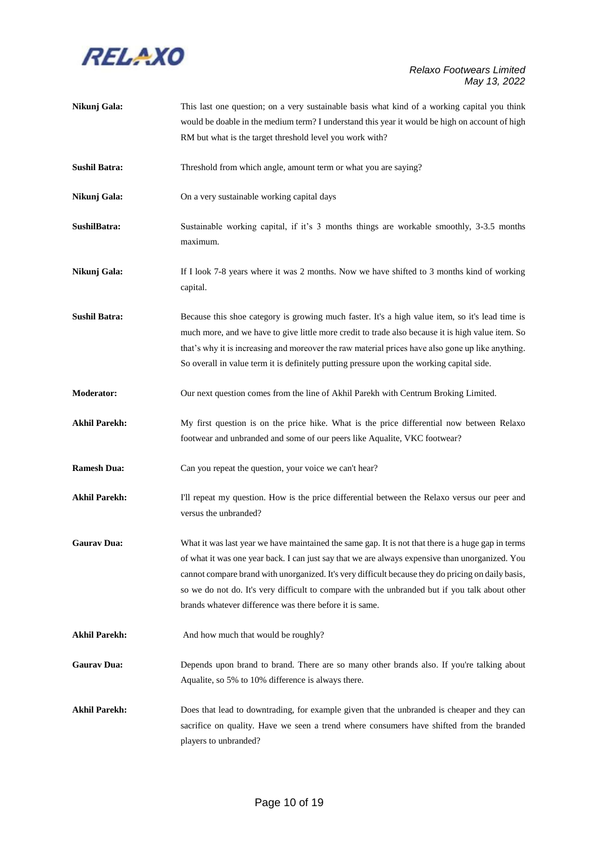

| Nikunj Gala:         | This last one question; on a very sustainable basis what kind of a working capital you think                                                                                                                                                                                                                                                                                                                                                                             |
|----------------------|--------------------------------------------------------------------------------------------------------------------------------------------------------------------------------------------------------------------------------------------------------------------------------------------------------------------------------------------------------------------------------------------------------------------------------------------------------------------------|
|                      | would be doable in the medium term? I understand this year it would be high on account of high                                                                                                                                                                                                                                                                                                                                                                           |
|                      | RM but what is the target threshold level you work with?                                                                                                                                                                                                                                                                                                                                                                                                                 |
| <b>Sushil Batra:</b> | Threshold from which angle, amount term or what you are saying?                                                                                                                                                                                                                                                                                                                                                                                                          |
| Nikunj Gala:         | On a very sustainable working capital days                                                                                                                                                                                                                                                                                                                                                                                                                               |
| SushilBatra:         | Sustainable working capital, if it's 3 months things are workable smoothly, 3-3.5 months<br>maximum.                                                                                                                                                                                                                                                                                                                                                                     |
| Nikunj Gala:         | If I look 7-8 years where it was 2 months. Now we have shifted to 3 months kind of working<br>capital.                                                                                                                                                                                                                                                                                                                                                                   |
| <b>Sushil Batra:</b> | Because this shoe category is growing much faster. It's a high value item, so it's lead time is<br>much more, and we have to give little more credit to trade also because it is high value item. So<br>that's why it is increasing and moreover the raw material prices have also gone up like anything.<br>So overall in value term it is definitely putting pressure upon the working capital side.                                                                   |
| Moderator:           | Our next question comes from the line of Akhil Parekh with Centrum Broking Limited.                                                                                                                                                                                                                                                                                                                                                                                      |
| <b>Akhil Parekh:</b> | My first question is on the price hike. What is the price differential now between Relaxo<br>footwear and unbranded and some of our peers like Aqualite, VKC footwear?                                                                                                                                                                                                                                                                                                   |
| <b>Ramesh Dua:</b>   | Can you repeat the question, your voice we can't hear?                                                                                                                                                                                                                                                                                                                                                                                                                   |
| <b>Akhil Parekh:</b> | I'll repeat my question. How is the price differential between the Relaxo versus our peer and<br>versus the unbranded?                                                                                                                                                                                                                                                                                                                                                   |
| <b>Gaurav Dua:</b>   | What it was last year we have maintained the same gap. It is not that there is a huge gap in terms<br>of what it was one year back. I can just say that we are always expensive than unorganized. You<br>cannot compare brand with unorganized. It's very difficult because they do pricing on daily basis,<br>so we do not do. It's very difficult to compare with the unbranded but if you talk about other<br>brands whatever difference was there before it is same. |
| <b>Akhil Parekh:</b> | And how much that would be roughly?                                                                                                                                                                                                                                                                                                                                                                                                                                      |
| <b>Gaurav Dua:</b>   | Depends upon brand to brand. There are so many other brands also. If you're talking about<br>Aqualite, so 5% to 10% difference is always there.                                                                                                                                                                                                                                                                                                                          |
| <b>Akhil Parekh:</b> | Does that lead to downtrading, for example given that the unbranded is cheaper and they can<br>sacrifice on quality. Have we seen a trend where consumers have shifted from the branded<br>players to unbranded?                                                                                                                                                                                                                                                         |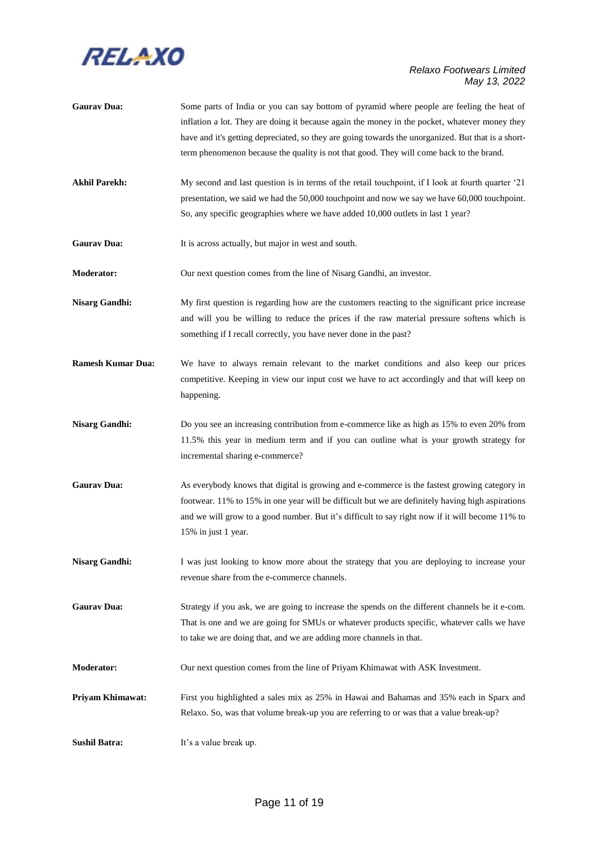

| <b>Gaurav Dua:</b>       | Some parts of India or you can say bottom of pyramid where people are feeling the heat of<br>inflation a lot. They are doing it because again the money in the pocket, whatever money they<br>have and it's getting depreciated, so they are going towards the unorganized. But that is a short-<br>term phenomenon because the quality is not that good. They will come back to the brand. |
|--------------------------|---------------------------------------------------------------------------------------------------------------------------------------------------------------------------------------------------------------------------------------------------------------------------------------------------------------------------------------------------------------------------------------------|
| <b>Akhil Parekh:</b>     | My second and last question is in terms of the retail touch point, if I look at fourth quarter '21<br>presentation, we said we had the 50,000 touchpoint and now we say we have 60,000 touchpoint.<br>So, any specific geographies where we have added 10,000 outlets in last 1 year?                                                                                                       |
| <b>Gaurav Dua:</b>       | It is across actually, but major in west and south.                                                                                                                                                                                                                                                                                                                                         |
| <b>Moderator:</b>        | Our next question comes from the line of Nisarg Gandhi, an investor.                                                                                                                                                                                                                                                                                                                        |
| <b>Nisarg Gandhi:</b>    | My first question is regarding how are the customers reacting to the significant price increase<br>and will you be willing to reduce the prices if the raw material pressure softens which is<br>something if I recall correctly, you have never done in the past?                                                                                                                          |
| <b>Ramesh Kumar Dua:</b> | We have to always remain relevant to the market conditions and also keep our prices<br>competitive. Keeping in view our input cost we have to act accordingly and that will keep on<br>happening.                                                                                                                                                                                           |
| <b>Nisarg Gandhi:</b>    | Do you see an increasing contribution from e-commerce like as high as 15% to even 20% from<br>11.5% this year in medium term and if you can outline what is your growth strategy for<br>incremental sharing e-commerce?                                                                                                                                                                     |
| <b>Gaurav Dua:</b>       | As everybody knows that digital is growing and e-commerce is the fastest growing category in<br>footwear. 11% to 15% in one year will be difficult but we are definitely having high aspirations<br>and we will grow to a good number. But it's difficult to say right now if it will become 11% to<br>15% in just 1 year.                                                                  |
| <b>Nisarg Gandhi:</b>    | I was just looking to know more about the strategy that you are deploying to increase your<br>revenue share from the e-commerce channels.                                                                                                                                                                                                                                                   |
| <b>Gaurav Dua:</b>       | Strategy if you ask, we are going to increase the spends on the different channels be it e-com.<br>That is one and we are going for SMUs or whatever products specific, whatever calls we have<br>to take we are doing that, and we are adding more channels in that.                                                                                                                       |
| <b>Moderator:</b>        | Our next question comes from the line of Priyam Khimawat with ASK Investment.                                                                                                                                                                                                                                                                                                               |
| <b>Priyam Khimawat:</b>  | First you highlighted a sales mix as 25% in Hawai and Bahamas and 35% each in Sparx and<br>Relaxo. So, was that volume break-up you are referring to or was that a value break-up?                                                                                                                                                                                                          |
| <b>Sushil Batra:</b>     | It's a value break up.                                                                                                                                                                                                                                                                                                                                                                      |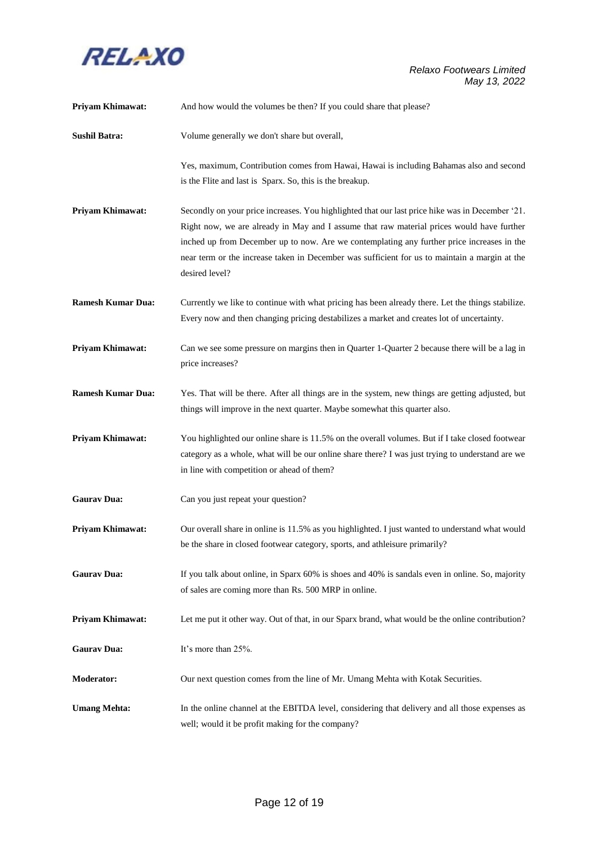

| <b>Priyam Khimawat:</b>  | And how would the volumes be then? If you could share that please?                                                                                                                                                                                                                                                                                                                                            |
|--------------------------|---------------------------------------------------------------------------------------------------------------------------------------------------------------------------------------------------------------------------------------------------------------------------------------------------------------------------------------------------------------------------------------------------------------|
| <b>Sushil Batra:</b>     | Volume generally we don't share but overall,                                                                                                                                                                                                                                                                                                                                                                  |
|                          | Yes, maximum, Contribution comes from Hawai, Hawai is including Bahamas also and second<br>is the Flite and last is Sparx. So, this is the breakup.                                                                                                                                                                                                                                                           |
| Priyam Khimawat:         | Secondly on your price increases. You highlighted that our last price hike was in December '21.<br>Right now, we are already in May and I assume that raw material prices would have further<br>inched up from December up to now. Are we contemplating any further price increases in the<br>near term or the increase taken in December was sufficient for us to maintain a margin at the<br>desired level? |
| <b>Ramesh Kumar Dua:</b> | Currently we like to continue with what pricing has been already there. Let the things stabilize.<br>Every now and then changing pricing destabilizes a market and creates lot of uncertainty.                                                                                                                                                                                                                |
| Priyam Khimawat:         | Can we see some pressure on margins then in Quarter 1-Quarter 2 because there will be a lag in<br>price increases?                                                                                                                                                                                                                                                                                            |
| <b>Ramesh Kumar Dua:</b> | Yes. That will be there. After all things are in the system, new things are getting adjusted, but<br>things will improve in the next quarter. Maybe somewhat this quarter also.                                                                                                                                                                                                                               |
| Priyam Khimawat:         | You highlighted our online share is 11.5% on the overall volumes. But if I take closed footwear<br>category as a whole, what will be our online share there? I was just trying to understand are we<br>in line with competition or ahead of them?                                                                                                                                                             |
| <b>Gaurav Dua:</b>       | Can you just repeat your question?                                                                                                                                                                                                                                                                                                                                                                            |
| Priyam Khimawat:         | Our overall share in online is 11.5% as you highlighted. I just wanted to understand what would<br>be the share in closed footwear category, sports, and athleisure primarily?                                                                                                                                                                                                                                |
| <b>Gaurav Dua:</b>       | If you talk about online, in Sparx 60% is shoes and 40% is sandals even in online. So, majority<br>of sales are coming more than Rs. 500 MRP in online.                                                                                                                                                                                                                                                       |
| Priyam Khimawat:         | Let me put it other way. Out of that, in our Sparx brand, what would be the online contribution?                                                                                                                                                                                                                                                                                                              |
| <b>Gaurav Dua:</b>       | It's more than 25%.                                                                                                                                                                                                                                                                                                                                                                                           |
| <b>Moderator:</b>        | Our next question comes from the line of Mr. Umang Mehta with Kotak Securities.                                                                                                                                                                                                                                                                                                                               |
| <b>Umang Mehta:</b>      | In the online channel at the EBITDA level, considering that delivery and all those expenses as<br>well; would it be profit making for the company?                                                                                                                                                                                                                                                            |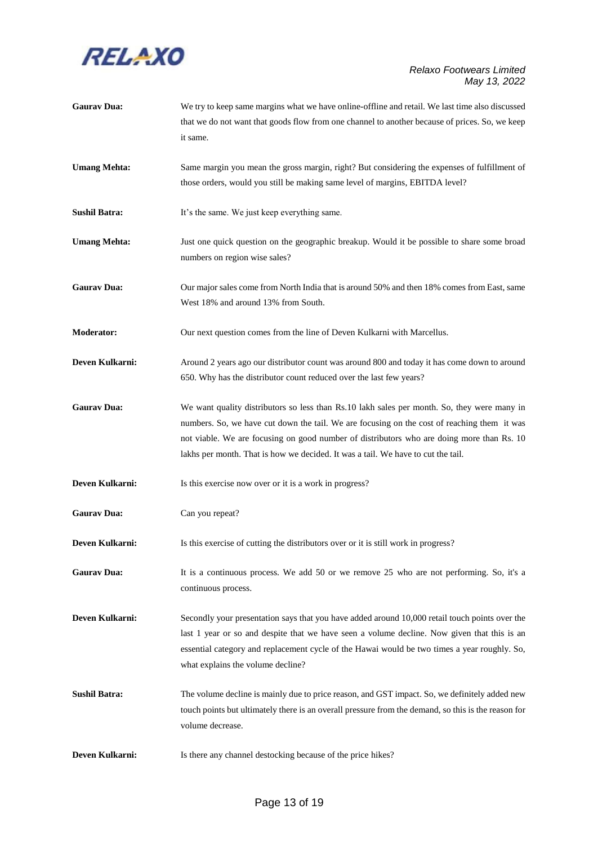

| <b>Gaurav Dua:</b>   | We try to keep same margins what we have online-offline and retail. We last time also discussed<br>that we do not want that goods flow from one channel to another because of prices. So, we keep                                                                                                                                                                           |
|----------------------|-----------------------------------------------------------------------------------------------------------------------------------------------------------------------------------------------------------------------------------------------------------------------------------------------------------------------------------------------------------------------------|
|                      | it same.                                                                                                                                                                                                                                                                                                                                                                    |
| <b>Umang Mehta:</b>  | Same margin you mean the gross margin, right? But considering the expenses of fulfillment of<br>those orders, would you still be making same level of margins, EBITDA level?                                                                                                                                                                                                |
| <b>Sushil Batra:</b> | It's the same. We just keep everything same.                                                                                                                                                                                                                                                                                                                                |
| <b>Umang Mehta:</b>  | Just one quick question on the geographic breakup. Would it be possible to share some broad<br>numbers on region wise sales?                                                                                                                                                                                                                                                |
| <b>Gaurav Dua:</b>   | Our major sales come from North India that is around 50% and then 18% comes from East, same<br>West 18% and around 13% from South.                                                                                                                                                                                                                                          |
| <b>Moderator:</b>    | Our next question comes from the line of Deven Kulkarni with Marcellus.                                                                                                                                                                                                                                                                                                     |
| Deven Kulkarni:      | Around 2 years ago our distributor count was around 800 and today it has come down to around<br>650. Why has the distributor count reduced over the last few years?                                                                                                                                                                                                         |
| <b>Gaurav Dua:</b>   | We want quality distributors so less than Rs.10 lakh sales per month. So, they were many in<br>numbers. So, we have cut down the tail. We are focusing on the cost of reaching them it was<br>not viable. We are focusing on good number of distributors who are doing more than Rs. 10<br>lakhs per month. That is how we decided. It was a tail. We have to cut the tail. |
| Deven Kulkarni:      | Is this exercise now over or it is a work in progress?                                                                                                                                                                                                                                                                                                                      |
| <b>Gaurav Dua:</b>   | Can you repeat?                                                                                                                                                                                                                                                                                                                                                             |
| Deven Kulkarni:      | Is this exercise of cutting the distributors over or it is still work in progress?                                                                                                                                                                                                                                                                                          |
| <b>Gaurav Dua:</b>   | It is a continuous process. We add 50 or we remove 25 who are not performing. So, it's a<br>continuous process.                                                                                                                                                                                                                                                             |
| Deven Kulkarni:      | Secondly your presentation says that you have added around 10,000 retail touch points over the<br>last 1 year or so and despite that we have seen a volume decline. Now given that this is an<br>essential category and replacement cycle of the Hawai would be two times a year roughly. So,<br>what explains the volume decline?                                          |
| <b>Sushil Batra:</b> | The volume decline is mainly due to price reason, and GST impact. So, we definitely added new<br>touch points but ultimately there is an overall pressure from the demand, so this is the reason for<br>volume decrease.                                                                                                                                                    |
| Deven Kulkarni:      | Is there any channel destocking because of the price hikes?                                                                                                                                                                                                                                                                                                                 |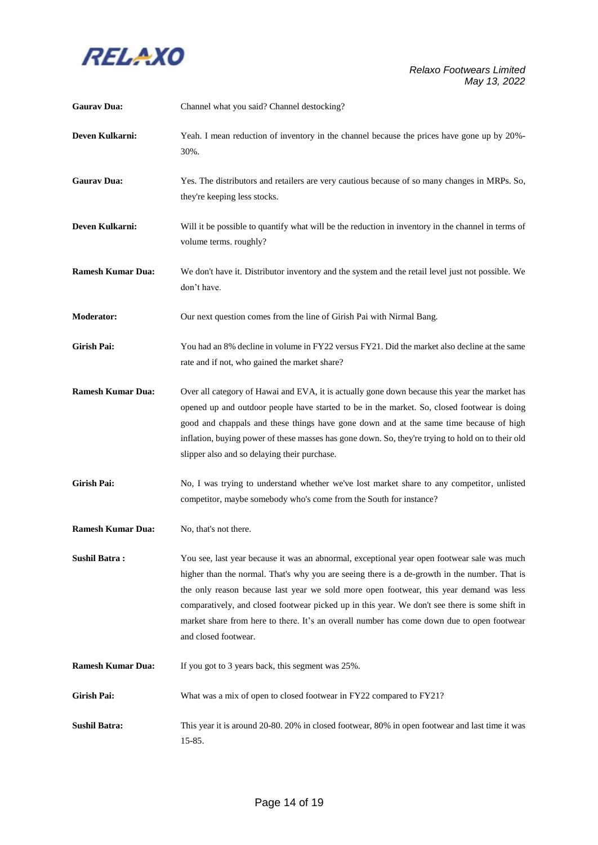

| <b>Gaurav Dua:</b>       | Channel what you said? Channel destocking?                                                                                                                                                                                                                                                                                                                                                                                                                                                                      |
|--------------------------|-----------------------------------------------------------------------------------------------------------------------------------------------------------------------------------------------------------------------------------------------------------------------------------------------------------------------------------------------------------------------------------------------------------------------------------------------------------------------------------------------------------------|
| Deven Kulkarni:          | Yeah. I mean reduction of inventory in the channel because the prices have gone up by 20%-<br>30%.                                                                                                                                                                                                                                                                                                                                                                                                              |
| <b>Gaurav Dua:</b>       | Yes. The distributors and retailers are very cautious because of so many changes in MRPs. So,<br>they're keeping less stocks.                                                                                                                                                                                                                                                                                                                                                                                   |
| Deven Kulkarni:          | Will it be possible to quantify what will be the reduction in inventory in the channel in terms of<br>volume terms. roughly?                                                                                                                                                                                                                                                                                                                                                                                    |
| <b>Ramesh Kumar Dua:</b> | We don't have it. Distributor inventory and the system and the retail level just not possible. We<br>don't have.                                                                                                                                                                                                                                                                                                                                                                                                |
| <b>Moderator:</b>        | Our next question comes from the line of Girish Pai with Nirmal Bang.                                                                                                                                                                                                                                                                                                                                                                                                                                           |
| <b>Girish Pai:</b>       | You had an 8% decline in volume in FY22 versus FY21. Did the market also decline at the same<br>rate and if not, who gained the market share?                                                                                                                                                                                                                                                                                                                                                                   |
| <b>Ramesh Kumar Dua:</b> | Over all category of Hawai and EVA, it is actually gone down because this year the market has<br>opened up and outdoor people have started to be in the market. So, closed footwear is doing<br>good and chappals and these things have gone down and at the same time because of high<br>inflation, buying power of these masses has gone down. So, they're trying to hold on to their old<br>slipper also and so delaying their purchase.                                                                     |
| <b>Girish Pai:</b>       | No, I was trying to understand whether we've lost market share to any competitor, unlisted<br>competitor, maybe somebody who's come from the South for instance?                                                                                                                                                                                                                                                                                                                                                |
| <b>Ramesh Kumar Dua:</b> | No, that's not there.                                                                                                                                                                                                                                                                                                                                                                                                                                                                                           |
| <b>Sushil Batra:</b>     | You see, last year because it was an abnormal, exceptional year open footwear sale was much<br>higher than the normal. That's why you are seeing there is a de-growth in the number. That is<br>the only reason because last year we sold more open footwear, this year demand was less<br>comparatively, and closed footwear picked up in this year. We don't see there is some shift in<br>market share from here to there. It's an overall number has come down due to open footwear<br>and closed footwear. |
| <b>Ramesh Kumar Dua:</b> | If you got to 3 years back, this segment was 25%.                                                                                                                                                                                                                                                                                                                                                                                                                                                               |
| Girish Pai:              | What was a mix of open to closed footwear in FY22 compared to FY21?                                                                                                                                                                                                                                                                                                                                                                                                                                             |
| <b>Sushil Batra:</b>     | This year it is around 20-80. 20% in closed footwear, 80% in open footwear and last time it was<br>15-85.                                                                                                                                                                                                                                                                                                                                                                                                       |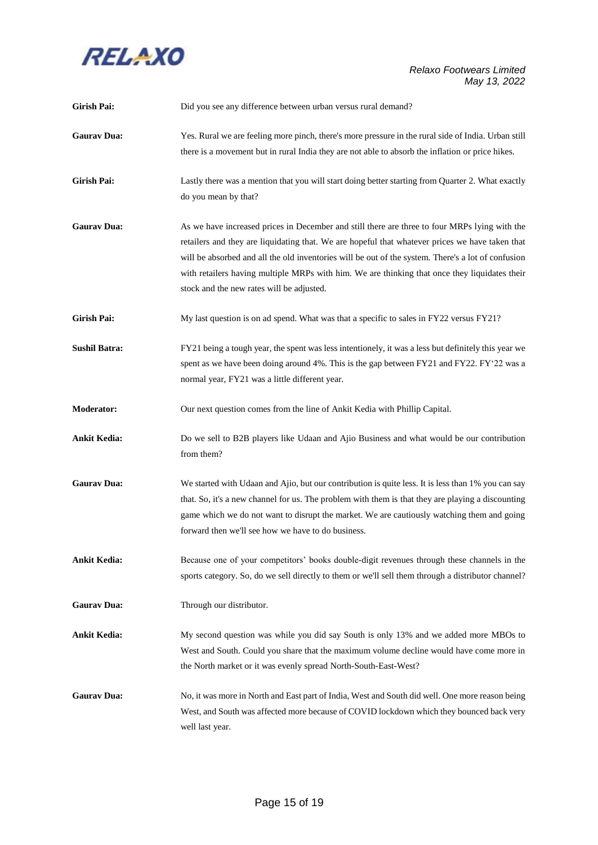

| <b>Girish Pai:</b>   | Did you see any difference between urban versus rural demand?                                                                                                                                                                                                                                                                                                                                                                                        |
|----------------------|------------------------------------------------------------------------------------------------------------------------------------------------------------------------------------------------------------------------------------------------------------------------------------------------------------------------------------------------------------------------------------------------------------------------------------------------------|
| <b>Gaurav Dua:</b>   | Yes. Rural we are feeling more pinch, there's more pressure in the rural side of India. Urban still<br>there is a movement but in rural India they are not able to absorb the inflation or price hikes.                                                                                                                                                                                                                                              |
| <b>Girish Pai:</b>   | Lastly there was a mention that you will start doing better starting from Quarter 2. What exactly<br>do you mean by that?                                                                                                                                                                                                                                                                                                                            |
| <b>Gaurav Dua:</b>   | As we have increased prices in December and still there are three to four MRPs lying with the<br>retailers and they are liquidating that. We are hopeful that whatever prices we have taken that<br>will be absorbed and all the old inventories will be out of the system. There's a lot of confusion<br>with retailers having multiple MRPs with him. We are thinking that once they liquidates their<br>stock and the new rates will be adjusted. |
| <b>Girish Pai:</b>   | My last question is on ad spend. What was that a specific to sales in FY22 versus FY21?                                                                                                                                                                                                                                                                                                                                                              |
| <b>Sushil Batra:</b> | FY21 being a tough year, the spent was less intentionely, it was a less but definitely this year we<br>spent as we have been doing around 4%. This is the gap between FY21 and FY22. FY'22 was a<br>normal year, FY21 was a little different year.                                                                                                                                                                                                   |
| Moderator:           | Our next question comes from the line of Ankit Kedia with Phillip Capital.                                                                                                                                                                                                                                                                                                                                                                           |
| <b>Ankit Kedia:</b>  | Do we sell to B2B players like Udaan and Ajio Business and what would be our contribution<br>from them?                                                                                                                                                                                                                                                                                                                                              |
| <b>Gaurav Dua:</b>   | We started with Udaan and Ajio, but our contribution is quite less. It is less than 1% you can say<br>that. So, it's a new channel for us. The problem with them is that they are playing a discounting<br>game which we do not want to disrupt the market. We are cautiously watching them and going<br>forward then we'll see how we have to do business.                                                                                          |
| <b>Ankit Kedia:</b>  | Because one of your competitors' books double-digit revenues through these channels in the<br>sports category. So, do we sell directly to them or we'll sell them through a distributor channel?                                                                                                                                                                                                                                                     |
| <b>Gaurav Dua:</b>   | Through our distributor.                                                                                                                                                                                                                                                                                                                                                                                                                             |
| <b>Ankit Kedia:</b>  | My second question was while you did say South is only 13% and we added more MBOs to<br>West and South. Could you share that the maximum volume decline would have come more in<br>the North market or it was evenly spread North-South-East-West?                                                                                                                                                                                                   |
| <b>Gaurav Dua:</b>   | No, it was more in North and East part of India, West and South did well. One more reason being<br>West, and South was affected more because of COVID lockdown which they bounced back very<br>well last year.                                                                                                                                                                                                                                       |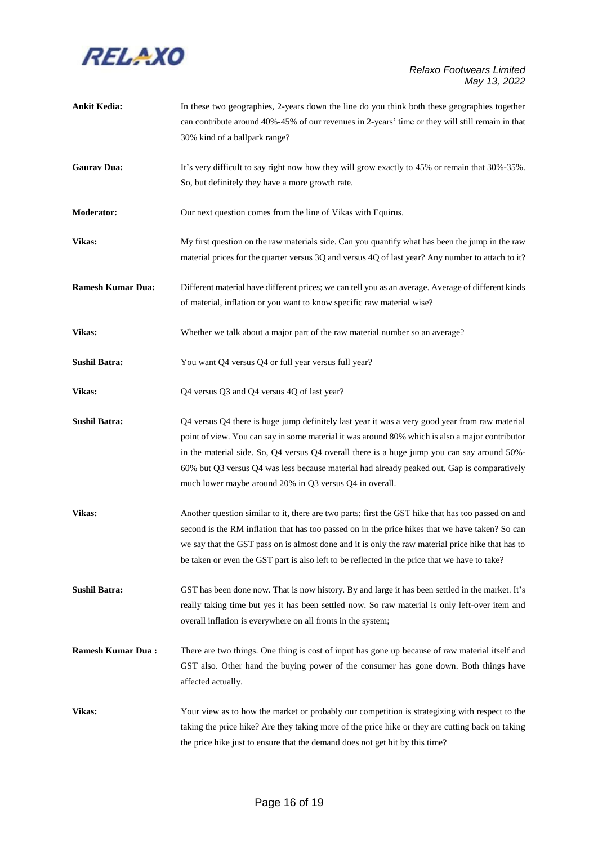

| <b>Ankit Kedia:</b>      | In these two geographies, 2-years down the line do you think both these geographies together<br>can contribute around 40%-45% of our revenues in 2-years' time or they will still remain in that<br>30% kind of a ballpark range?                                                                                                                                                                                                                          |
|--------------------------|------------------------------------------------------------------------------------------------------------------------------------------------------------------------------------------------------------------------------------------------------------------------------------------------------------------------------------------------------------------------------------------------------------------------------------------------------------|
| <b>Gaurav Dua:</b>       | It's very difficult to say right now how they will grow exactly to 45% or remain that 30%-35%.<br>So, but definitely they have a more growth rate.                                                                                                                                                                                                                                                                                                         |
| <b>Moderator:</b>        | Our next question comes from the line of Vikas with Equirus.                                                                                                                                                                                                                                                                                                                                                                                               |
| Vikas:                   | My first question on the raw materials side. Can you quantify what has been the jump in the raw<br>material prices for the quarter versus 3Q and versus 4Q of last year? Any number to attach to it?                                                                                                                                                                                                                                                       |
| <b>Ramesh Kumar Dua:</b> | Different material have different prices; we can tell you as an average. Average of different kinds<br>of material, inflation or you want to know specific raw material wise?                                                                                                                                                                                                                                                                              |
| Vikas:                   | Whether we talk about a major part of the raw material number so an average?                                                                                                                                                                                                                                                                                                                                                                               |
| <b>Sushil Batra:</b>     | You want Q4 versus Q4 or full year versus full year?                                                                                                                                                                                                                                                                                                                                                                                                       |
| Vikas:                   | Q4 versus Q3 and Q4 versus 4Q of last year?                                                                                                                                                                                                                                                                                                                                                                                                                |
| <b>Sushil Batra:</b>     | Q4 versus Q4 there is huge jump definitely last year it was a very good year from raw material<br>point of view. You can say in some material it was around 80% which is also a major contributor<br>in the material side. So, Q4 versus Q4 overall there is a huge jump you can say around 50%-<br>60% but Q3 versus Q4 was less because material had already peaked out. Gap is comparatively<br>much lower maybe around 20% in Q3 versus Q4 in overall. |
| Vikas:                   | Another question similar to it, there are two parts; first the GST hike that has too passed on and<br>second is the RM inflation that has too passed on in the price hikes that we have taken? So can<br>we say that the GST pass on is almost done and it is only the raw material price hike that has to<br>be taken or even the GST part is also left to be reflected in the price that we have to take?                                                |
| <b>Sushil Batra:</b>     | GST has been done now. That is now history. By and large it has been settled in the market. It's<br>really taking time but yes it has been settled now. So raw material is only left-over item and<br>overall inflation is everywhere on all fronts in the system;                                                                                                                                                                                         |
| <b>Ramesh Kumar Dua:</b> | There are two things. One thing is cost of input has gone up because of raw material itself and<br>GST also. Other hand the buying power of the consumer has gone down. Both things have<br>affected actually.                                                                                                                                                                                                                                             |
| <b>Vikas:</b>            | Your view as to how the market or probably our competition is strategizing with respect to the<br>taking the price hike? Are they taking more of the price hike or they are cutting back on taking<br>the price hike just to ensure that the demand does not get hit by this time?                                                                                                                                                                         |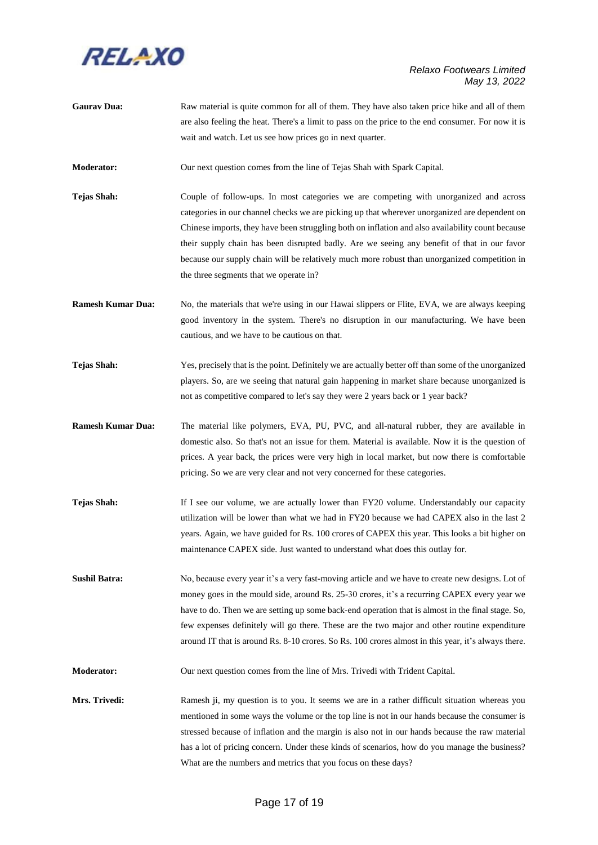

**Gaurav Dua:** Raw material is quite common for all of them. They have also taken price hike and all of them are also feeling the heat. There's a limit to pass on the price to the end consumer. For now it is wait and watch. Let us see how prices go in next quarter.

**Moderator:** Our next question comes from the line of Tejas Shah with Spark Capital.

- **Tejas Shah:** Couple of follow-ups. In most categories we are competing with unorganized and across categories in our channel checks we are picking up that wherever unorganized are dependent on Chinese imports, they have been struggling both on inflation and also availability count because their supply chain has been disrupted badly. Are we seeing any benefit of that in our favor because our supply chain will be relatively much more robust than unorganized competition in the three segments that we operate in?
- **Ramesh Kumar Dua:** No, the materials that we're using in our Hawai slippers or Flite, EVA, we are always keeping good inventory in the system. There's no disruption in our manufacturing. We have been cautious, and we have to be cautious on that.
- **Tejas Shah:** Yes, precisely that is the point. Definitely we are actually better off than some of the unorganized players. So, are we seeing that natural gain happening in market share because unorganized is not as competitive compared to let's say they were 2 years back or 1 year back?
- **Ramesh Kumar Dua:** The material like polymers, EVA, PU, PVC, and all-natural rubber, they are available in domestic also. So that's not an issue for them. Material is available. Now it is the question of prices. A year back, the prices were very high in local market, but now there is comfortable pricing. So we are very clear and not very concerned for these categories.
- **Tejas Shah:** If I see our volume, we are actually lower than FY20 volume. Understandably our capacity utilization will be lower than what we had in FY20 because we had CAPEX also in the last 2 years. Again, we have guided for Rs. 100 crores of CAPEX this year. This looks a bit higher on maintenance CAPEX side. Just wanted to understand what does this outlay for.
- **Sushil Batra:** No, because every year it's a very fast-moving article and we have to create new designs. Lot of money goes in the mould side, around Rs. 25-30 crores, it's a recurring CAPEX every year we have to do. Then we are setting up some back-end operation that is almost in the final stage. So, few expenses definitely will go there. These are the two major and other routine expenditure around IT that is around Rs. 8-10 crores. So Rs. 100 crores almost in this year, it's always there.

**Moderator:** Our next question comes from the line of Mrs. Trivedi with Trident Capital.

**Mrs. Trivedi:** Ramesh ji, my question is to you. It seems we are in a rather difficult situation whereas you mentioned in some ways the volume or the top line is not in our hands because the consumer is stressed because of inflation and the margin is also not in our hands because the raw material has a lot of pricing concern. Under these kinds of scenarios, how do you manage the business? What are the numbers and metrics that you focus on these days?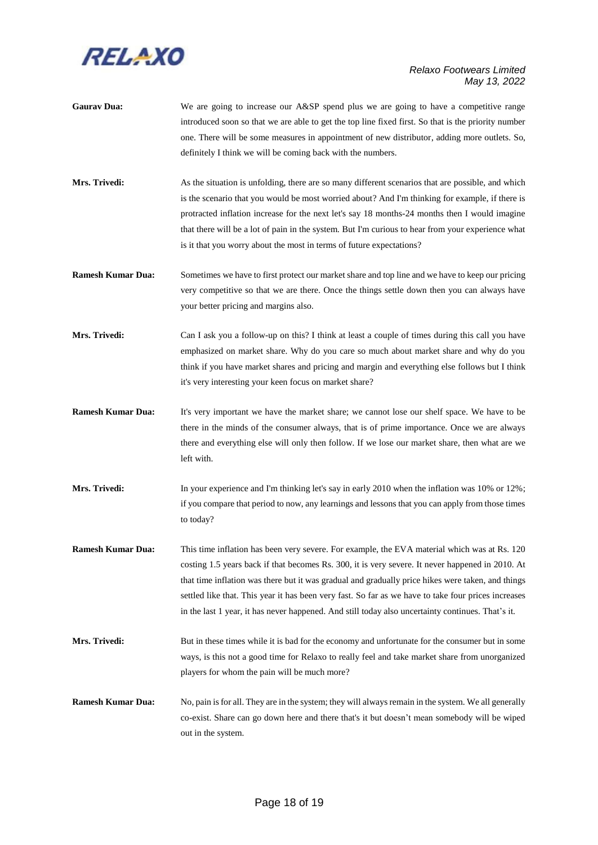

- Gaurav Dua: We are going to increase our A&SP spend plus we are going to have a competitive range introduced soon so that we are able to get the top line fixed first. So that is the priority number one. There will be some measures in appointment of new distributor, adding more outlets. So, definitely I think we will be coming back with the numbers.
- **Mrs. Trivedi:** As the situation is unfolding, there are so many different scenarios that are possible, and which is the scenario that you would be most worried about? And I'm thinking for example, if there is protracted inflation increase for the next let's say 18 months-24 months then I would imagine that there will be a lot of pain in the system. But I'm curious to hear from your experience what is it that you worry about the most in terms of future expectations?
- **Ramesh Kumar Dua:** Sometimes we have to first protect our market share and top line and we have to keep our pricing very competitive so that we are there. Once the things settle down then you can always have your better pricing and margins also.
- **Mrs. Trivedi:** Can I ask you a follow-up on this? I think at least a couple of times during this call you have emphasized on market share. Why do you care so much about market share and why do you think if you have market shares and pricing and margin and everything else follows but I think it's very interesting your keen focus on market share?
- **Ramesh Kumar Dua:** It's very important we have the market share; we cannot lose our shelf space. We have to be there in the minds of the consumer always, that is of prime importance. Once we are always there and everything else will only then follow. If we lose our market share, then what are we left with.
- **Mrs. Trivedi:** In your experience and I'm thinking let's say in early 2010 when the inflation was 10% or 12%; if you compare that period to now, any learnings and lessons that you can apply from those times to today?
- **Ramesh Kumar Dua:** This time inflation has been very severe. For example, the EVA material which was at Rs. 120 costing 1.5 years back if that becomes Rs. 300, it is very severe. It never happened in 2010. At that time inflation was there but it was gradual and gradually price hikes were taken, and things settled like that. This year it has been very fast. So far as we have to take four prices increases in the last 1 year, it has never happened. And still today also uncertainty continues. That's it.
- **Mrs. Trivedi:** But in these times while it is bad for the economy and unfortunate for the consumer but in some ways, is this not a good time for Relaxo to really feel and take market share from unorganized players for whom the pain will be much more?
- **Ramesh Kumar Dua:** No, pain is for all. They are in the system; they will alwaysremain in the system. We all generally co-exist. Share can go down here and there that's it but doesn't mean somebody will be wiped out in the system.